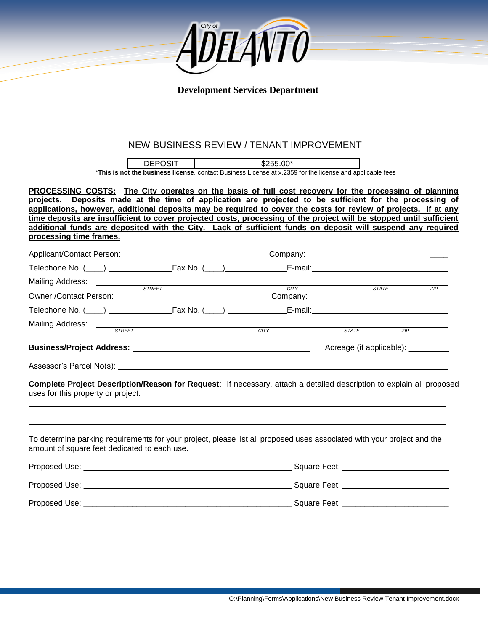

### **Development Services Department**

## NEW BUSINESS REVIEW / TENANT IMPROVEMENT

| <b>DEPOSIT</b> | $$255.00*$                                                                                                |  |
|----------------|-----------------------------------------------------------------------------------------------------------|--|
|                | *This is not the business license, contact Business License at x.2359 for the license and applicable fees |  |

**PROCESSING COSTS: The City operates on the basis of full cost recovery for the processing of planning projects. Deposits made at the time of application are projected to be sufficient for the processing of applications, however, additional deposits may be required to cover the costs for review of projects. If at any time deposits are insufficient to cover projected costs, processing of the project will be stopped until sufficient additional funds are deposited with the City. Lack of sufficient funds on deposit will suspend any required processing time frames.**

| Mailing Address: _____________         |               |             |                                    |              |     |
|----------------------------------------|---------------|-------------|------------------------------------|--------------|-----|
|                                        | <b>STREET</b> | <b>CITY</b> |                                    | <b>STATE</b> | ZIP |
|                                        |               |             |                                    |              |     |
|                                        |               | <b>CITY</b> | <b>STATE</b>                       | ZIP          |     |
|                                        |               |             | Acreage (if applicable): _________ |              |     |
|                                        |               |             |                                    |              |     |
| Assessor's Parcel No(s): _____________ |               |             |                                    |              |     |

**Complete Project Description/Reason for Request**: If necessary, attach a detailed description to explain all proposed uses for this property or project.

To determine parking requirements for your project, please list all proposed uses associated with your project and the amount of square feet dedicated to each use.

 $\mathcal{L}_\text{max}$  and  $\mathcal{L}_\text{max}$  and  $\mathcal{L}_\text{max}$  are the set of the set of the set of the set of the set of the set of the set of the set of the set of the set of the set of the set of the set of the set of the set of th

| Proposed Use: | Square Feet: |
|---------------|--------------|
| Proposed Use: | Square Feet: |
| Proposed Use: | Square Feet: |

\_\_\_\_\_\_\_\_\_\_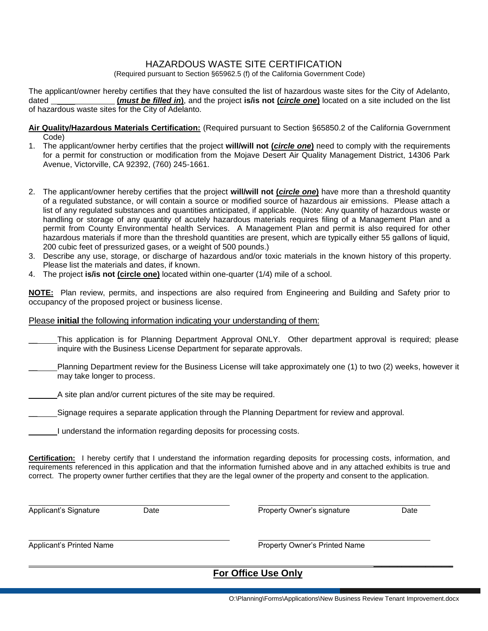## HAZARDOUS WASTE SITE CERTIFICATION

(Required pursuant to Section §65962.5 (f) of the California Government Code)

The applicant/owner hereby certifies that they have consulted the list of hazardous waste sites for the City of Adelanto, dated \_\_\_\_ **(***must be filled in***)**, and the project **is/is not (***circle one***)** located on a site included on the list of hazardous waste sites for the City of Adelanto.

- **Air Quality/Hazardous Materials Certification:** (Required pursuant to Section §65850.2 of the California Government Code)
- 1. The applicant/owner herby certifies that the project **will/will not (***circle one***)** need to comply with the requirements for a permit for construction or modification from the Mojave Desert Air Quality Management District, 14306 Park Avenue, Victorville, CA 92392, (760) 245-1661.
- 2. The applicant/owner hereby certifies that the project **will/will not (***circle one***)** have more than a threshold quantity of a regulated substance, or will contain a source or modified source of hazardous air emissions. Please attach a list of any regulated substances and quantities anticipated, if applicable. (Note: Any quantity of hazardous waste or handling or storage of any quantity of acutely hazardous materials requires filing of a Management Plan and a permit from County Environmental health Services. A Management Plan and permit is also required for other hazardous materials if more than the threshold quantities are present, which are typically either 55 gallons of liquid, 200 cubic feet of pressurized gases, or a weight of 500 pounds.)
- 3. Describe any use, storage, or discharge of hazardous and/or toxic materials in the known history of this property. Please list the materials and dates, if known.
- 4. The project **is/is not (circle one)** located within one-quarter (1/4) mile of a school.

**NOTE:** Plan review, permits, and inspections are also required from Engineering and Building and Safety prior to occupancy of the proposed project or business license.

#### Please **initial** the following information indicating your understanding of them:

- This application is for Planning Department Approval ONLY. Other department approval is required; please inquire with the Business License Department for separate approvals.
- \_\_ Planning Department review for the Business License will take approximately one (1) to two (2) weeks, however it may take longer to process.

A site plan and/or current pictures of the site may be required.

Signage requires a separate application through the Planning Department for review and approval.

| I understand the information regarding deposits for processing costs. |  |  |  |
|-----------------------------------------------------------------------|--|--|--|
|                                                                       |  |  |  |

**Certification:** I hereby certify that I understand the information regarding deposits for processing costs, information, and requirements referenced in this application and that the information furnished above and in any attached exhibits is true and correct. The property owner further certifies that they are the legal owner of the property and consent to the application.

Applicant's Signature **Date** Property Owner's signature **Date** Property Owners signature

**\_\_\_\_\_\_\_\_\_\_\_\_\_\_\_\_\_\_\_\_**

Applicant's Printed Name **Property Owner's Printed Name** 

# **For Office Use Only**

O:\Planning\Forms\Applications\New Business Review Tenant Improvement.docx